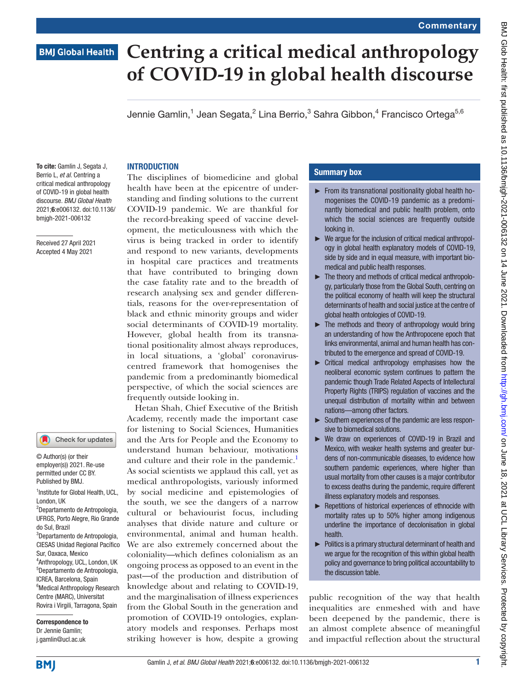## **Centring a critical medical anthropology BMJ Global Health of COVID-19 in global health discourse**

Jennie Gamlin, $^1$  Jean Segata, $^2$  Lina Berrio, $^3$  Sahra Gibbon, $^4$  Francisco Ortega $^{5,6}$ 

#### **INTRODUCTION**

To cite: Gamlin J, Segata J, Berrio L, *et al*. Centring a critical medical anthropology of COVID-19 in global health discourse. *BMJ Global Health* 2021;6:e006132. doi:10.1136/ bmjgh-2021-006132

Received 27 April 2021 Accepted 4 May 2021

#### Check for updates

<sup>1</sup>Institute for Global Health, UCL, London, UK 2 Departamento de Antropologia, UFRGS, Porto Alegre, Rio Grande do Sul, Brazil 3 Departamento de Antropologia, CIESAS Unidad Regional Pacífico Sur, Oaxaca, Mexico 4 Anthropology, UCL, London, UK 5 Departamento de Antropologia, ICREA, Barcelona, Spain <sup>6</sup>Medical Anthropology Research Centre (MARC), Universitat Rovira i Virgili, Tarragona, Spain © Author(s) (or their employer(s)) 2021. Re-use permitted under CC BY. Published by BMJ.

Correspondence to Dr Jennie Gamlin; j.gamlin@ucl.ac.uk

The disciplines of biomedicine and global health have been at the epicentre of understanding and finding solutions to the current COVID-19 pandemic. We are thankful for the record-breaking speed of vaccine development, the meticulousness with which the virus is being tracked in order to identify and respond to new variants, developments in hospital care practices and treatments that have contributed to bringing down the case fatality rate and to the breadth of research analysing sex and gender differentials, reasons for the over-representation of black and ethnic minority groups and wider social determinants of COVID-19 mortality. However, global health from its transnational positionality almost always reproduces, in local situations, a 'global' coronaviruscentred framework that homogenises the pandemic from a predominantly biomedical perspective, of which the social sciences are frequently outside looking in.

Hetan Shah, Chief Executive of the British Academy, recently made the important case for listening to Social Sciences, Humanities and the Arts for People and the Economy to understand human behaviour, motivations and culture and their role in the pandemic.<sup>1</sup> As social scientists we applaud this call, yet as medical anthropologists, variously informed by social medicine and epistemologies of the south, we see the dangers of a narrow cultural or behaviourist focus, including analyses that divide nature and culture or environmental, animal and human health. We are also extremely concerned about the coloniality—which defines colonialism as an ongoing process as opposed to an event in the past—of the production and distribution of knowledge about and relating to COVID-19, and the marginalisation of illness experiences from the Global South in the generation and promotion of COVID-19 ontologies, explanatory models and responses. Perhaps most striking however is how, despite a growing

### Summary box

- ► From its transnational positionality global health homogenises the COVID-19 pandemic as a predominantly biomedical and public health problem, onto which the social sciences are frequently outside looking in.
- ► We argue for the inclusion of critical medical anthropology in global health explanatory models of COVID-19, side by side and in equal measure, with important biomedical and public health responses.
- ► The theory and methods of critical medical anthropology, particularly those from the Global South, centring on the political economy of health will keep the structural determinants of health and social justice at the centre of global health ontologies of COVID-19.
- ► The methods and theory of anthropology would bring an understanding of how the Anthropocene epoch that links environmental, animal and human health has contributed to the emergence and spread of COVID-19.
- ► Critical medical anthropology emphasises how the neoliberal economic system continues to pattern the pandemic though Trade Related Aspects of Intellectural Property Rights (TRIPS) regulation of vaccines and the unequal distribution of mortality within and between nations—among other factors.
- ► Southern experiences of the pandemic are less responsive to biomedical solutions.
- ► We draw on experiences of COVID-19 in Brazil and Mexico, with weaker health systems and greater burdens of non-communicable diseases, to evidence how southern pandemic experiences, where higher than usual mortality from other causes is a major contributor to excess deaths during the pandemic, require different illness explanatory models and responses.
- ► Repetitions of historical experiences of ethnocide with mortality rates up to 50% higher among indigenous underline the importance of decolonisation in global health.
- ► Politics is a primary structural determinant of health and we argue for the recognition of this within global health policy and governance to bring political accountability to the discussion table.

public recognition of the way that health inequalities are enmeshed with and have been deepened by the pandemic, there is an almost complete absence of meaningful and impactful reflection about the structural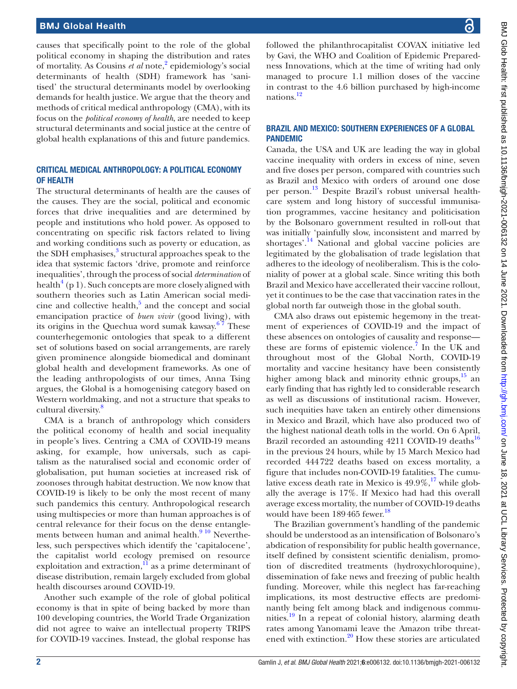#### BMJ Global Health

causes that specifically point to the role of the global political economy in shaping the distribution and rates of mortality. As Cousins *et al* note,<sup>[2](#page-3-1)</sup> epidemiology's social determinants of health (SDH) framework has 'sanitised' the structural determinants model by overlooking demands for health justice. We argue that the theory and methods of critical medical anthropology (CMA), with its focus on the *political economy of health*, are needed to keep structural determinants and social justice at the centre of global health explanations of this and future pandemics.

### CRITICAL MEDICAL ANTHROPOLOGY: A POLITICAL ECONOMY OF HEALTH

The structural determinants of health are the causes of the causes. They are the social, political and economic forces that drive inequalities and are determined by people and institutions who hold power. As opposed to concentrating on specific risk factors related to living and working conditions such as poverty or education, as the SDH emphasises,<sup>3</sup> structural approaches speak to the idea that systemic factors 'drive, promote and reinforce inequalities', through the process of social *determination* of health<sup>[4](#page-3-3)</sup> (p 1). Such concepts are more closely aligned with southern theories such as Latin American social medicine and collective health, $5$  and the concept and social emancipation practice of *buen vivir* (good living), with its origins in the Quechua word sumak kawsay. $67$  These counterhegemonic ontologies that speak to a different set of solutions based on social arrangements, are rarely given prominence alongside biomedical and dominant global health and development frameworks. As one of the leading anthropologists of our times, Anna Tsing argues, the Global is a homogenising category based on Western worldmaking, and not a structure that speaks to cultural diversity.<sup>[8](#page-3-6)</sup>

CMA is a branch of anthropology which considers the political economy of health and social inequality in people's lives. Centring a CMA of COVID-19 means asking, for example, how universals, such as capitalism as the naturalised social and economic order of globalisation, put human societies at increased risk of zoonoses through habitat destruction. We now know that COVID-19 is likely to be only the most recent of many such pandemics this century. Anthropological research using multispecies or more than human approaches is of central relevance for their focus on the dense entanglements between human and animal health. $910$  Nevertheless, such perspectives which identify the 'capitalocene', the capitalist world ecology premised on resource exploitation and extraction, $\overline{11}$  as a prime determinant of disease distribution, remain largely excluded from global health discourses around COVID-19.

Another such example of the role of global political economy is that in spite of being backed by more than 100 developing countries, the World Trade Organization did not agree to waive an intellectual property TRIPS for COVID-19 vaccines. Instead, the global response has

followed the philanthrocapitalist COVAX initiative led by Gavi, the WHO and Coalition of Epidemic Preparedness Innovations, which at the time of writing had only managed to procure 1.1 million doses of the vaccine in contrast to the 4.6 billion purchased by high-income nations.<sup>12</sup>

#### BRAZIL AND MEXICO: SOUTHERN EXPERIENCES OF A GLOBAL PANDEMIC

Canada, the USA and UK are leading the way in global vaccine inequality with orders in excess of nine, seven and five doses per person, compared with countries such as Brazil and Mexico with orders of around one dose per person.<sup>[13](#page-3-10)</sup> Despite Brazil's robust universal healthcare system and long history of successful immunisation programmes, vaccine hesitancy and politicisation by the Bolsonaro government resulted in roll-out that was initially 'painfully slow, inconsistent and marred by shortages'.<sup>[14](#page-3-11)</sup> National and global vaccine policies are legitimated by the globalisation of trade legislation that adheres to the ideology of neoliberalism. This is the coloniality of power at a global scale. Since writing this both Brazil and Mexico have accellerated their vaccine rollout, yet it continues to be the case that vaccination rates in the global north far outweigh those in the global south.

CMA also draws out epistemic hegemony in the treatment of experiences of COVID-19 and the impact of these absences on ontologies of causality and response— these are forms of epistemic violence.<sup>[7](#page-3-12)</sup> In the UK and throughout most of the Global North, COVID-19 mortality and vaccine hesitancy have been consistently higher among black and minority ethnic groups,<sup>[15](#page-3-13)</sup> an early finding that has rightly led to considerable research as well as discussions of institutional racism. However, such inequities have taken an entirely other dimensions in Mexico and Brazil, which have also produced two of the highest national death tolls in the world. On 6 April, Brazil recorded an astounding 4211 COVID-19 deaths<sup>16</sup> in the previous 24 hours, while by 15 March Mexico had recorded 444722 deaths based on excess mortality, a figure that includes non-COVID-19 fatalities. The cumulative excess death rate in Mexico is  $49.9\%,^{17}$  while globally the average is 17%. If Mexico had had this overall average excess mortality, the number of COVID-19 deaths would have been 189465 fewer. [18](#page-3-16)

The Brazilian government's handling of the pandemic should be understood as an intensification of Bolsonaro's abdication of responsibility for public health governance, itself defined by consistent scientific denialism, promotion of discredited treatments (hydroxychloroquine), dissemination of fake news and freezing of public health funding. Moreover, while this neglect has far-reaching implications, its most destructive effects are predominantly being felt among black and indigenous communities.<sup>19</sup> In a repeat of colonial history, alarming death rates among Yanomami leave the Amazon tribe threatened with extinction.<sup>20</sup> How these stories are articulated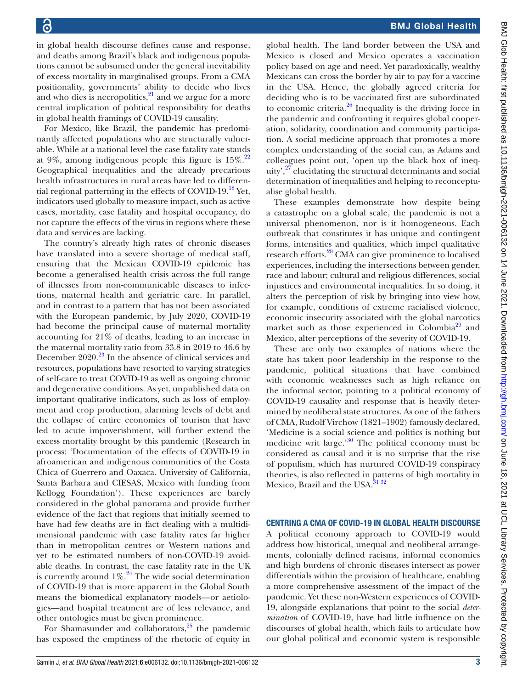BMJ Global Health

in global health discourse defines cause and response, and deaths among Brazil's black and indigenous populations cannot be subsumed under the general inevitability of excess mortality in marginalised groups. From a CMA positionality, governments' ability to decide who lives and who dies is necropolitics, $21$  and we argue for a more central implication of political responsibility for deaths in global health framings of COVID-19 causality.

For Mexico, like Brazil, the pandemic has predominantly affected populations who are structurally vulnerable. While at a national level the case fatality rate stands at 9%, among indigenous people this figure is  $15\%^{22}$ . Geographical inequalities and the already precarious health infrastructures in rural areas have led to differen-tial regional patterning in the effects of COVID-19.<sup>[18](#page-3-16)</sup> Yet, indicators used globally to measure impact, such as active cases, mortality, case fatality and hospital occupancy, do not capture the effects of the virus in regions where these data and services are lacking.

The country's already high rates of chronic diseases have translated into a severe shortage of medical staff, ensuring that the Mexican COVID-19 epidemic has become a generalised health crisis across the full range of illnesses from non-communicable diseases to infections, maternal health and geriatric care. In parallel, and in contrast to a pattern that has not been associated with the European pandemic, by July 2020, COVID-19 had become the principal cause of maternal mortality accounting for 21% of deaths, leading to an increase in the maternal mortality ratio from 33.8 in 2019 to 46.6 by December  $2020.<sup>23</sup>$  $2020.<sup>23</sup>$  $2020.<sup>23</sup>$  In the absence of clinical services and resources, populations have resorted to varying strategies of self-care to treat COVID-19 as well as ongoing chronic and degenerative conditions. As yet, unpublished data on important qualitative indicators, such as loss of employment and crop production, alarming levels of debt and the collapse of entire economies of tourism that have led to acute impoverishment, will further extend the excess mortality brought by this pandemic (Research in process: 'Documentation of the effects of COVID-19 in afroamerican and indigenous communities of the Costa Chica of Guerrero and Oaxaca. University of California, Santa Barbara and CIESAS, Mexico with funding from Kellogg Foundation'). These experiences are barely considered in the global panorama and provide further evidence of the fact that regions that initially seemed to have had few deaths are in fact dealing with a multidimensional pandemic with case fatality rates far higher than in metropolitan centres or Western nations and yet to be estimated numbers of non-COVID-19 avoidable deaths. In contrast, the case fatality rate in the UK is currently around  $1\%$ .<sup>[24](#page-4-5)</sup> The wide social determination of COVID-19 that is more apparent in the Global South means the biomedical explanatory models—or aetiologies—and hospital treatment are of less relevance, and other ontologies must be given prominence.

For Shamasunder and collaborators, $^{25}$  the pandemic has exposed the emptiness of the rhetoric of equity in

global health. The land border between the USA and Mexico is closed and Mexico operates a vaccination policy based on age and need. Yet paradoxically, wealthy Mexicans can cross the border by air to pay for a vaccine in the USA. Hence, the globally agreed criteria for deciding who is to be vaccinated first are subordinated to economic criteria. $^{26}$  $^{26}$  $^{26}$  Inequality is the driving force in the pandemic and confronting it requires global cooperation, solidarity, coordination and community participation. A social medicine approach that promotes a more complex understanding of the social can, as Adams and colleagues point out, 'open up the black box of inequity', $27$  elucidating the structural determinants and social determination of inequalities and helping to reconceptualise global health.

These examples demonstrate how despite being a catastrophe on a global scale, the pandemic is not a universal phenomenon, nor is it homogeneous. Each outbreak that constitutes it has unique and contingent forms, intensities and qualities, which impel qualitative research efforts.[28](#page-4-9) CMA can give prominence to localised experiences, including the intersections between gender, race and labour; cultural and religious differences, social injustices and environmental inequalities. In so doing, it alters the perception of risk by bringing into view how, for example, conditions of extreme racialised violence, economic insecurity associated with the global narcotics market such as those experienced in Colombia<sup>29</sup> and Mexico, alter perceptions of the severity of COVID-19.

These are only two examples of nations where the state has taken poor leadership in the response to the pandemic, political situations that have combined with economic weaknesses such as high reliance on the informal sector, pointing to a political economy of COVID-19 causality and response that is heavily determined by neoliberal state structures. As one of the fathers of CMA, Rudolf Virchow (1821–1902) famously declared, 'Medicine is a social science and politics is nothing but medicine writ large.'[30](#page-4-11) The political economy must be considered as causal and it is no surprise that the rise of populism, which has nurtured COVID-19 conspiracy theories, is also reflected in patterns of high mortality in Mexico, Brazil and the USA.<sup>[31 32](#page-4-12)</sup>

### CENTRING A CMA OF COVID-19 IN GLOBAL HEALTH DISCOURSE

A political economy approach to COVID-19 would address how historical, unequal and neoliberal arrangements, colonially defined racisms, informal economies and high burdens of chronic diseases intersect as power differentials within the provision of healthcare, enabling a more comprehensive assessment of the impact of the pandemic. Yet these non-Western experiences of COVID-19, alongside explanations that point to the social *determination* of COVID-19, have had little influence on the discourses of global health, which fails to articulate how our global political and economic system is responsible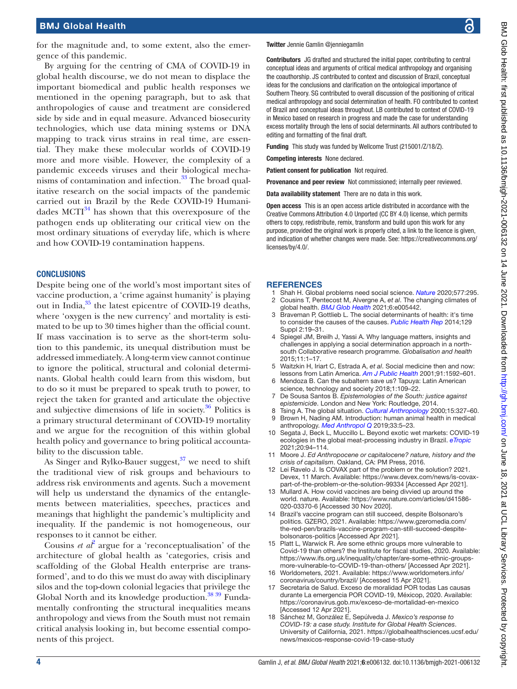for the magnitude and, to some extent, also the emergence of this pandemic.

By arguing for the centring of CMA of COVID-19 in global health discourse, we do not mean to displace the important biomedical and public health responses we mentioned in the opening paragraph, but to ask that anthropologies of cause and treatment are considered side by side and in equal measure. Advanced biosecurity technologies, which use data mining systems or DNA mapping to track virus strains in real time, are essential. They make these molecular worlds of COVID-19 more and more visible. However, the complexity of a pandemic exceeds viruses and their biological mechanisms of contamination and infection. $33$  The broad qualitative research on the social impacts of the pandemic carried out in Brazil by the Rede COVID-19 Humanidades  $MCTI<sup>34</sup>$  has shown that this overexposure of the pathogen ends up obliterating our critical view on the most ordinary situations of everyday life, which is where and how COVID-19 contamination happens.

#### **CONCLUSIONS**

Despite being one of the world's most important sites of vaccine production, a 'crime against humanity' is playing out in India,<sup>35</sup> the latest epicentre of COVID-19 deaths, where 'oxygen is the new currency' and mortality is estimated to be up to 30 times higher than the official count. If mass vaccination is to serve as the short-term solution to this pandemic, its unequal distribution must be addressed immediately. A long-term view cannot continue to ignore the political, structural and colonial determinants. Global health could learn from this wisdom, but to do so it must be prepared to speak truth to power, to reject the taken for granted and articulate the objective and subjective dimensions of life in society. $36$  Politics is a primary structural determinant of COVID-19 mortality and we argue for the recognition of this within global health policy and governance to bring political accountability to the discussion table.

As Singer and Rylko-Bauer suggest, $37$  we need to shift the traditional view of risk groups and behaviours to address risk environments and agents. Such a movement will help us understand the dynamics of the entanglements between materialities, speeches, practices and meanings that highlight the pandemic's multiplicity and inequality. If the pandemic is not homogeneous, our responses to it cannot be either.

Cousins *et al*<sup>[2](#page-3-1)</sup> argue for a 'reconceptualisation' of the architecture of global health as 'categories, crisis and scaffolding of the Global Health enterprise are transformed', and to do this we must do away with disciplinary silos and the top-down colonial legacies that privilege the Global North and its knowledge production.<sup>[38 39](#page-4-18)</sup> Fundamentally confronting the structural inequalities means anthropology and views from the South must not remain critical analysis looking in, but become essential components of this project.

#### Twitter Jennie Gamlin [@jenniegamlin](https://twitter.com/jenniegamlin)

Contributors JG drafted and structured the initial paper, contributing to central conceptual ideas and arguments of critical medical anthropology and organising the coauthorship. JS contributed to context and discussion of Brazil, conceptual ideas for the conclusions and clarification on the ontological importance of Southern Theory. SG contributed to overall discussion of the positioning of critical medical anthropology and social determination of health. FO contributed to context of Brazil and conceptual ideas throughout. LB contributed to context of COVID-19 in Mexico based on research in progress and made the case for understanding excess mortality through the lens of social determinants. All authors contributed to editing and formatting of the final draft.

Funding This study was funded by Wellcome Trust (215001/Z/18/Z).

Competing interests None declared.

Patient consent for publication Not required.

Provenance and peer review Not commissioned; internally peer reviewed.

Data availability statement There are no data in this work.

Open access This is an open access article distributed in accordance with the Creative Commons Attribution 4.0 Unported (CC BY 4.0) license, which permits others to copy, redistribute, remix, transform and build upon this work for any purpose, provided the original work is properly cited, a link to the licence is given, and indication of whether changes were made. See: [https://creativecommons.org/](https://creativecommons.org/licenses/by/4.0/) [licenses/by/4.0/](https://creativecommons.org/licenses/by/4.0/).

#### **REFERENCES**

- <span id="page-3-0"></span>1 Shah H. Global problems need social science. *[Nature](http://dx.doi.org/10.1038/d41586-020-00064-x)* 2020;577:295.
- <span id="page-3-1"></span>2 Cousins T, Pentecost M, Alvergne A, *et al*. The changing climates of global health. *[BMJ Glob Health](http://dx.doi.org/10.1136/bmjgh-2021-005442)* 2021;6:e005442.
- <span id="page-3-2"></span>Braveman P, Gottlieb L. The social determinants of health: it's time to consider the causes of the causes. *[Public Health Rep](http://dx.doi.org/10.1177/00333549141291S206)* 2014;129 Suppl 2:19–31.
- <span id="page-3-3"></span>Spiegel JM, Breilh J, Yassi A. Why language matters, insights and challenges in applying a social determination approach in a northsouth Collaborative research programme. *Globalisation and health* 2015;11:1–17.
- <span id="page-3-4"></span>5 Waitzkin H, Iriart C, Estrada A, *et al*. Social medicine then and now: lessons from Latin America. *[Am J Public Health](http://dx.doi.org/10.2105/AJPH.91.10.1592)* 2001;91:1592–601.
- <span id="page-3-5"></span>Mendoza B. Can the subaltern save us? Tapuya: Latin American science, technology and society 2018;1:109–22.
- <span id="page-3-12"></span>7 De Sousa Santos B. *Epistemologies of the South: justice against epistemicide*. London and New York: Routledge, 2014.
- <span id="page-3-7"></span><span id="page-3-6"></span>8 Tsing A. The global situation. *[Cultural Anthropology](http://dx.doi.org/10.1525/can.2000.15.3.327)* 2000;15:327–60. Brown H, Nading AM. Introduction: human animal health in medical
- anthropology. *[Med Anthropol Q](http://dx.doi.org/10.1111/maq.12488)* 2019;33:5–23. 10 Segata J, Beck L, Muccillo L. Beyond exotic wet markets: COVID-19 ecologies in the global meat-processing industry in Brazil. *[eTropic](http://dx.doi.org/10.25120/etropic.20.1.2021.3794)* 2021;20:94–114.
- <span id="page-3-8"></span>11 Moore J. *Ed Anthropocene or capitalocene? nature, history and the crisis of capitalism*. Oakland, CA: PM Press, 2016.
- <span id="page-3-9"></span>12 Lei Ravelo J. Is COVAX part of the problem or the solution? 2021. Devex, 11 March. Available: [https://www.devex.com/news/is-covax](https://www.devex.com/news/is-covax-part-of-the-problem-or-the-solution-99334)[part-of-the-problem-or-the-solution-99334](https://www.devex.com/news/is-covax-part-of-the-problem-or-the-solution-99334) [Accessed Apr 2021].
- <span id="page-3-10"></span>13 Mullard A. How covid vaccines are being divvied up around the world. nature. Available: [https://www.nature.com/articles/d41586-](https://www.nature.com/articles/d41586-020-03370-6) [020-03370-6](https://www.nature.com/articles/d41586-020-03370-6) [Accessed 30 Nov 2020].
- <span id="page-3-11"></span>Brazil's vaccine program can still succeed, despite Bolsonaro's politics. GZERO, 2021. Available: [https://www.gzeromedia.com/](https://www.gzeromedia.com/the-red-pen/brazils-vaccine-program-can-still-succeed-despite-bolsonaros-politics) [the-red-pen/brazils-vaccine-program-can-still-succeed-despite](https://www.gzeromedia.com/the-red-pen/brazils-vaccine-program-can-still-succeed-despite-bolsonaros-politics)[bolsonaros-politics](https://www.gzeromedia.com/the-red-pen/brazils-vaccine-program-can-still-succeed-despite-bolsonaros-politics) [Accessed Apr 2021].
- <span id="page-3-13"></span>15 Platt L, Warwick R. Are some ethnic groups more vulnerable to Covid-19 than others? the Institute for fiscal studies, 2020. Available: [https://www.ifs.org.uk/inequality/chapter/are-some-ethnic-groups](https://www.ifs.org.uk/inequality/chapter/are-some-ethnic-groups-more-vulnerable-to-COVID-19-than-others/)[more-vulnerable-to-COVID-19-than-others/](https://www.ifs.org.uk/inequality/chapter/are-some-ethnic-groups-more-vulnerable-to-COVID-19-than-others/) [Accessed Apr 2021].
- <span id="page-3-14"></span>16 Worldometers, 2021. Available: [https://www.worldometers.info/](https://www.worldometers.info/coronavirus/country/brazil/) [coronavirus/country/brazil/](https://www.worldometers.info/coronavirus/country/brazil/) [Accessed 15 Apr 2021].
- <span id="page-3-15"></span>17 Secretaría de Salud. Exceso de moralidad POR todas Las causas durante La emergencia POR COVID-19, Méxicop, 2020. Available: <https://coronavirus.gob.mx/exceso-de-mortalidad-en-mexico> [Accessed 12 Apr 2021].
- <span id="page-3-16"></span>18 Sánchez M, González E, Sepúlveda J. *Mexico's response to COVID-19: a case study. Institute for Global Health Sciences*. University of California, 2021. [https://globalhealthsciences.ucsf.edu/](https://globalhealthsciences.ucsf.edu/news/mexicos-response-covid-19-case-study) [news/mexicos-response-covid-19-case-study](https://globalhealthsciences.ucsf.edu/news/mexicos-response-covid-19-case-study)